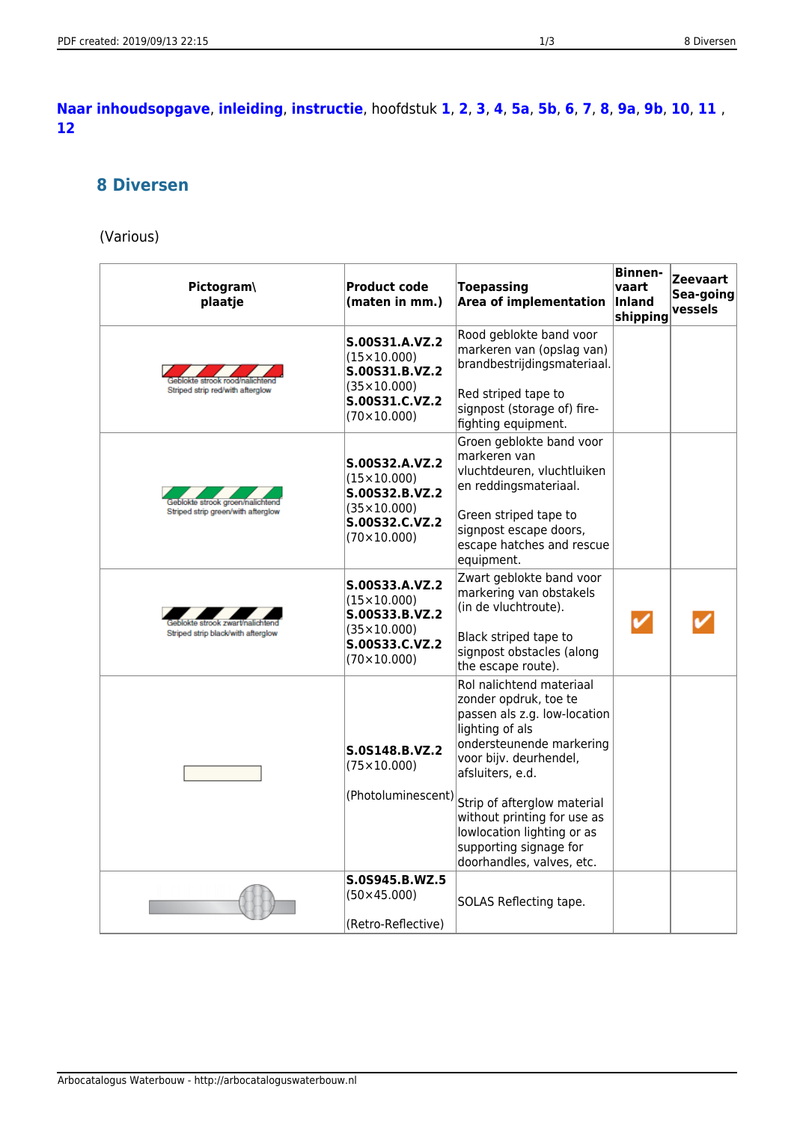## <span id="page-0-0"></span>**[Naar inhoudsopgave](https://arbocataloguswaterbouw.nl/p/waterbouw/veiligheidssignalisatie)**, **[inleiding](https://arbocataloguswaterbouw.nl/p/waterbouw/inleiding_veiligheidssignalisatie)**, **[instructie](https://arbocataloguswaterbouw.nl/p/waterbouw/instructie_veiligheidssignalisatie)**, hoofdstuk **[1](https://arbocataloguswaterbouw.nl/p/waterbouw/vluchtwegmarkering)**, **[2](https://arbocataloguswaterbouw.nl/p/waterbouw/reddingsmarkering)**, **[3](https://arbocataloguswaterbouw.nl/p/waterbouw/brandbestrijdingsmarkering)**, **[4](https://arbocataloguswaterbouw.nl/p/waterbouw/gebodssignalering)**, **[5a](https://arbocataloguswaterbouw.nl/p/waterbouw/verbodssignalering)**, **[5b](https://arbocataloguswaterbouw.nl/p/waterbouw/verbodssignalering#b_samengestelde_signalering)**, **[6](https://arbocataloguswaterbouw.nl/p/waterbouw/waarschuwingssignalering)**, **[7](https://arbocataloguswaterbouw.nl/p/waterbouw/tijdelijke_bindlabels)**, **[8](#page-0-0)**, **[9a](https://arbocataloguswaterbouw.nl/p/waterbouw/bevestigingsmaterialen)**, **[9b](https://arbocataloguswaterbouw.nl/p/waterbouw/bevestigingsmaterialen#b_bevestigingsmaterialen)**, **[10](https://arbocataloguswaterbouw.nl/p/waterbouw/leidingmarkering)**, **[11](https://arbocataloguswaterbouw.nl/p/waterbouw/ism_posters)** , **[12](https://arbocataloguswaterbouw.nl/p/waterbouw/zoneringsborden)**

## **8 Diversen**

## (Various)

| Pictogram\<br>plaatje                                                | <b>Product code</b><br>(maten in mm.)                                                                                    | <b>Toepassing</b><br><b>Area of implementation</b>                                                                                                                                            | <b>Binnen-</b><br>vaart<br>Inland<br>shipping | <b>Zeevaart</b><br>Sea-going<br>vessels |
|----------------------------------------------------------------------|--------------------------------------------------------------------------------------------------------------------------|-----------------------------------------------------------------------------------------------------------------------------------------------------------------------------------------------|-----------------------------------------------|-----------------------------------------|
| te strook rood/nali                                                  | S.00S31.A.VZ.2<br>$(15\times10.000)$<br>S.00S31.B.VZ.2<br>$(35 \times 10,000)$                                           | Rood geblokte band voor<br>markeren van (opslag van)<br>brandbestrijdingsmateriaal.                                                                                                           |                                               |                                         |
| Striped strip red/with afterglow                                     | S.00S31.C.VZ.2<br>(70×10.000)                                                                                            | Red striped tape to<br>signpost (storage of) fire-<br>fighting equipment.                                                                                                                     |                                               |                                         |
| šeblokte strook groen/nalichte<br>Striped strip green/with afterglow | S.00S32.A.VZ.2<br>$(15\times10.000)$<br>S.00S32.B.VZ.2<br>$(35 \times 10.000)$<br>S.00S32.C.VZ.2<br>$(70 \times 10,000)$ | Groen geblokte band voor<br>markeren van<br>vluchtdeuren, vluchtluiken<br>en reddingsmateriaal.<br>Green striped tape to<br>signpost escape doors,<br>escape hatches and rescue<br>equipment. |                                               |                                         |
| lokte strook zwart/nalichten<br>Striped strip black/with afterglow   | S.00S33.A.VZ.2<br>$(15\times10.000)$<br>S.00S33.B.VZ.2<br>$(35 \times 10.000)$<br>S.00S33.C.VZ.2<br>$(70\times10.000)$   | Zwart geblokte band voor<br>markering van obstakels<br>(in de vluchtroute).<br>Black striped tape to<br>signpost obstacles (along<br>the escape route).                                       |                                               |                                         |
|                                                                      | S.0S148.B.VZ.2<br>$(75 \times 10.000)$                                                                                   | Rol nalichtend materiaal<br>zonder opdruk, toe te<br>passen als z.g. low-location<br>lighting of als<br>ondersteunende markering<br>voor bijv. deurhendel,<br>afsluiters, e.d.                |                                               |                                         |
|                                                                      | (Photoluminescent)                                                                                                       | Strip of afterglow material<br>without printing for use as<br>lowlocation lighting or as<br>supporting signage for<br>doorhandles, valves, etc.                                               |                                               |                                         |
|                                                                      | S.0S945.B.WZ.5<br>$(50 \times 45.000)$<br>(Retro-Reflective)                                                             | SOLAS Reflecting tape.                                                                                                                                                                        |                                               |                                         |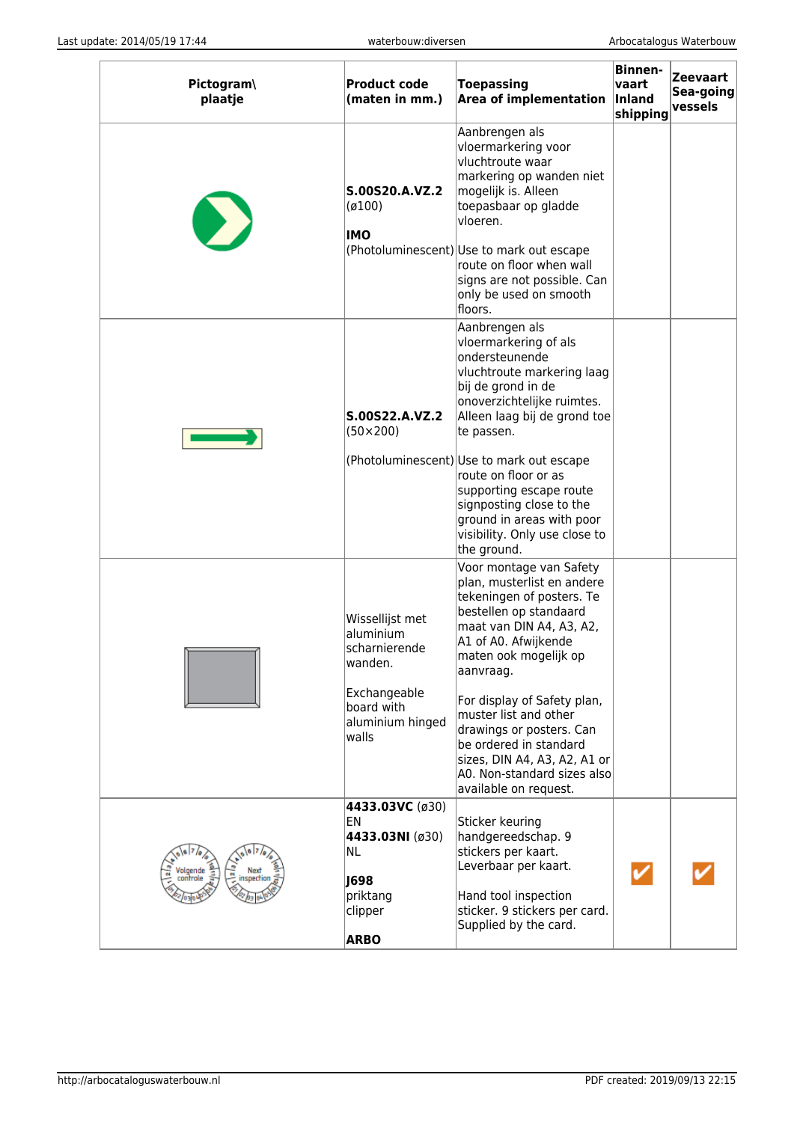| Pictogram\<br>plaatje | <b>Product code</b><br>(maten in mm.)                                                                               | Toepassing<br><b>Area of implementation</b>                                                                                                                                                                                                                                                                                                                                                                  | <b>Binnen-</b><br>vaart<br>Inland<br>shipping | <b>Zeevaart</b><br>Sea-going<br>vessels |
|-----------------------|---------------------------------------------------------------------------------------------------------------------|--------------------------------------------------------------------------------------------------------------------------------------------------------------------------------------------------------------------------------------------------------------------------------------------------------------------------------------------------------------------------------------------------------------|-----------------------------------------------|-----------------------------------------|
|                       | S.00S20.A.VZ.2<br>(0100)<br><b>IMO</b>                                                                              | Aanbrengen als<br>vloermarkering voor<br>vluchtroute waar<br>markering op wanden niet<br>mogelijk is. Alleen<br>toepasbaar op gladde<br>vloeren.<br>(Photoluminescent) Use to mark out escape<br>route on floor when wall<br>signs are not possible. Can<br>only be used on smooth<br>floors.                                                                                                                |                                               |                                         |
|                       | S.00S22.A.VZ.2<br>$(50 \times 200)$                                                                                 | Aanbrengen als<br>vloermarkering of als<br>ondersteunende<br>vluchtroute markering laag<br>bij de grond in de<br>onoverzichtelijke ruimtes.<br>Alleen laag bij de grond toe<br>te passen.<br>(Photoluminescent) Use to mark out escape<br>route on floor or as<br>supporting escape route<br>signposting close to the<br>ground in areas with poor<br>visibility. Only use close to<br>the ground.           |                                               |                                         |
|                       | Wissellijst met<br>aluminium<br>scharnierende<br>wanden.<br>Exchangeable<br>board with<br>aluminium hinged<br>walls | Voor montage van Safety<br>plan, musterlist en andere<br>tekeningen of posters. Te<br>bestellen op standaard<br>maat van DIN A4, A3, A2,<br>A1 of A0. Afwijkende<br>maten ook mogelijk op<br>aanvraag.<br>For display of Safety plan,<br>muster list and other<br>drawings or posters. Can<br>be ordered in standard<br>sizes, DIN A4, A3, A2, A1 or<br>A0. Non-standard sizes also<br>available on request. |                                               |                                         |
| inspectio             | 4433.03VC (ø30)<br>EN<br>4433.03NI (ø30)<br>NL<br>J698<br>priktang<br>clipper<br><b>ARBO</b>                        | Sticker keuring<br>handgereedschap. 9<br>stickers per kaart.<br>Leverbaar per kaart.<br>Hand tool inspection<br>sticker. 9 stickers per card.<br>Supplied by the card.                                                                                                                                                                                                                                       |                                               |                                         |